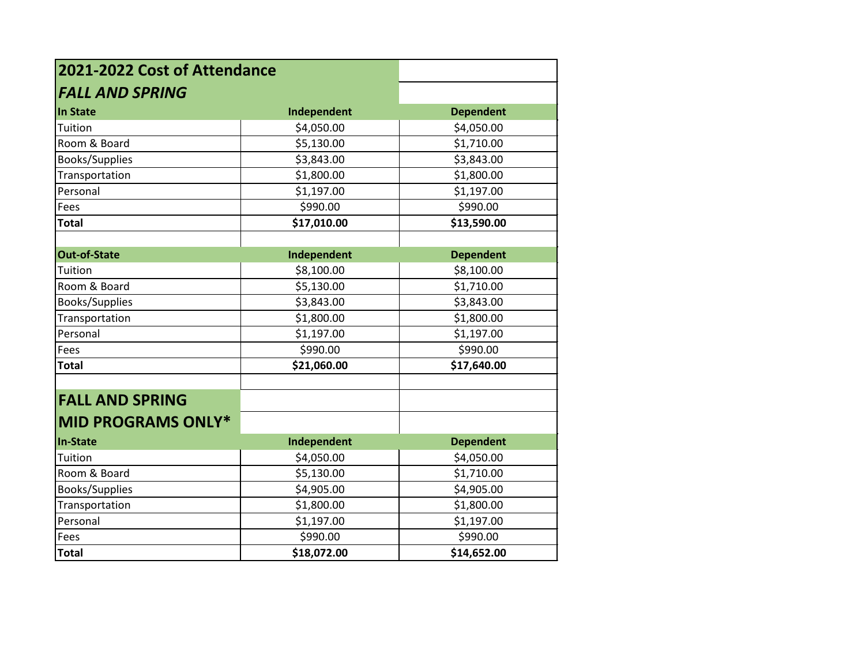| 2021-2022 Cost of Attendance |             |                  |
|------------------------------|-------------|------------------|
| <b>FALL AND SPRING</b>       |             |                  |
| In State                     | Independent | <b>Dependent</b> |
| Tuition                      | \$4,050.00  | \$4,050.00       |
| Room & Board                 | \$5,130.00  | \$1,710.00       |
| <b>Books/Supplies</b>        | \$3,843.00  | \$3,843.00       |
| Transportation               | \$1,800.00  | \$1,800.00       |
| Personal                     | \$1,197.00  | \$1,197.00       |
| Fees                         | \$990.00    | \$990.00         |
| <b>Total</b>                 | \$17,010.00 | \$13,590.00      |
|                              |             |                  |
| Out-of-State                 | Independent | <b>Dependent</b> |
| Tuition                      | \$8,100.00  | \$8,100.00       |
| Room & Board                 | \$5,130.00  | \$1,710.00       |
| <b>Books/Supplies</b>        | \$3,843.00  | \$3,843.00       |
| Transportation               | \$1,800.00  | \$1,800.00       |
| Personal                     | \$1,197.00  | \$1,197.00       |
| Fees                         | \$990.00    | \$990.00         |
| <b>Total</b>                 | \$21,060.00 | \$17,640.00      |
|                              |             |                  |
| <b>FALL AND SPRING</b>       |             |                  |
| <b>MID PROGRAMS ONLY*</b>    |             |                  |
| In-State                     | Independent | <b>Dependent</b> |
| Tuition                      | \$4,050.00  | \$4,050.00       |
| Room & Board                 | \$5,130.00  | \$1,710.00       |
| <b>Books/Supplies</b>        | \$4,905.00  | \$4,905.00       |
| Transportation               | \$1,800.00  | \$1,800.00       |
| Personal                     | \$1,197.00  | \$1,197.00       |
| Fees                         | \$990.00    | \$990.00         |
| <b>Total</b>                 | \$18,072.00 | \$14,652.00      |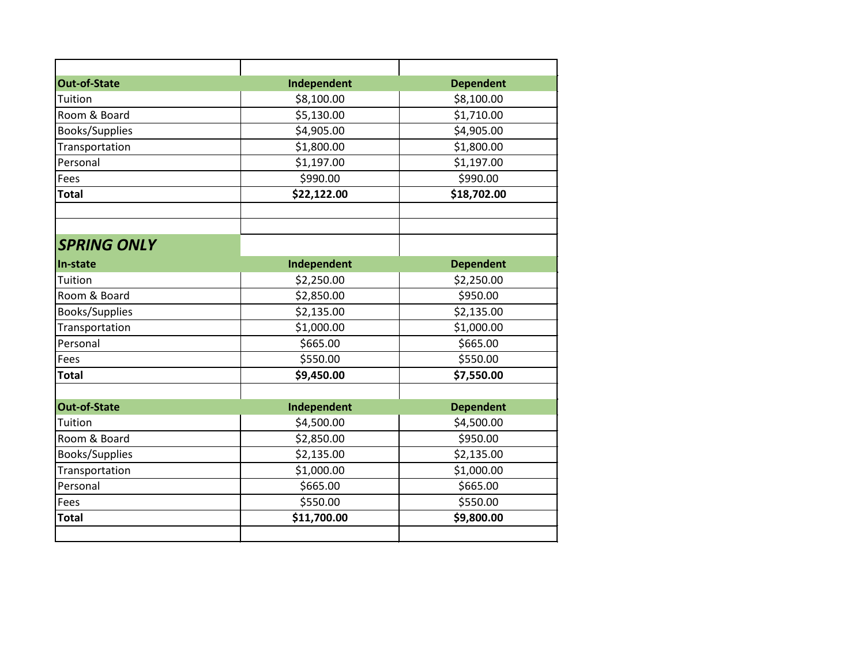| <b>Out-of-State</b>   | Independent | <b>Dependent</b> |
|-----------------------|-------------|------------------|
| Tuition               | \$8,100.00  | \$8,100.00       |
| Room & Board          | \$5,130.00  | \$1,710.00       |
| <b>Books/Supplies</b> | \$4,905.00  | \$4,905.00       |
| Transportation        | \$1,800.00  | \$1,800.00       |
| Personal              | \$1,197.00  | \$1,197.00       |
| Fees                  | \$990.00    | \$990.00         |
| <b>Total</b>          | \$22,122.00 | \$18,702.00      |
| <b>SPRING ONLY</b>    |             |                  |
| In-state              | Independent | <b>Dependent</b> |
| Tuition               | \$2,250.00  | \$2,250.00       |
| Room & Board          | \$2,850.00  | \$950.00         |
| Books/Supplies        | \$2,135.00  | \$2,135.00       |
| Transportation        | \$1,000.00  | \$1,000.00       |
| Personal              | \$665.00    | \$665.00         |
| Fees                  | \$550.00    | \$550.00         |
| <b>Total</b>          | \$9,450.00  | \$7,550.00       |
| <b>Out-of-State</b>   | Independent | <b>Dependent</b> |
| Tuition               | \$4,500.00  | \$4,500.00       |
| Room & Board          | \$2,850.00  | \$950.00         |
| Books/Supplies        | \$2,135.00  | \$2,135.00       |
| Transportation        | \$1,000.00  | \$1,000.00       |
| Personal              | \$665.00    | \$665.00         |
| Fees                  | \$550.00    | \$550.00         |
| <b>Total</b>          | \$11,700.00 | \$9,800.00       |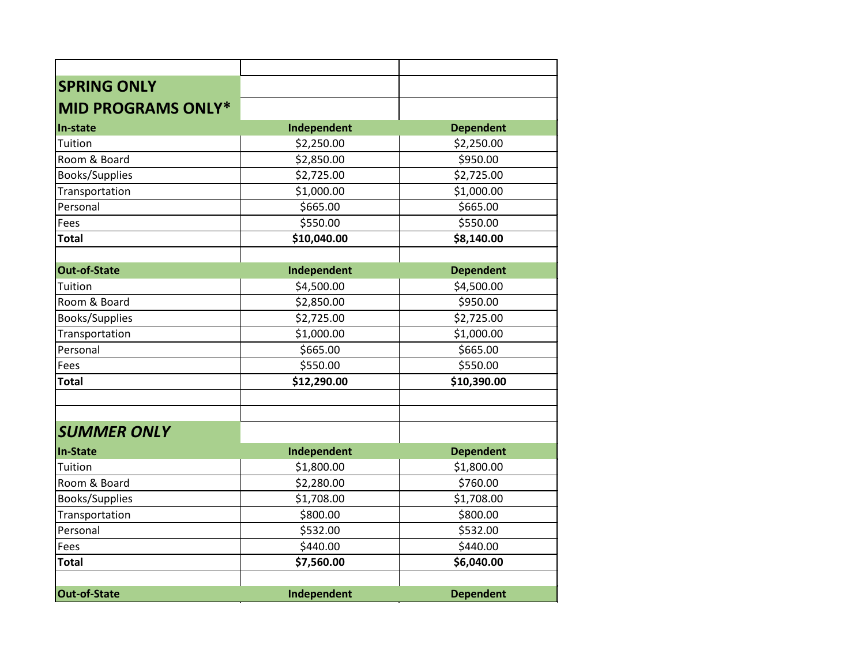| <b>SPRING ONLY</b>        |             |                  |
|---------------------------|-------------|------------------|
| <b>MID PROGRAMS ONLY*</b> |             |                  |
| In-state                  | Independent | <b>Dependent</b> |
| Tuition                   | \$2,250.00  | \$2,250.00       |
| Room & Board              | \$2,850.00  | \$950.00         |
| <b>Books/Supplies</b>     | \$2,725.00  | \$2,725.00       |
| Transportation            | \$1,000.00  | \$1,000.00       |
| Personal                  | \$665.00    | \$665.00         |
| Fees                      | \$550.00    | \$550.00         |
| <b>Total</b>              | \$10,040.00 | \$8,140.00       |
| <b>Out-of-State</b>       | Independent | <b>Dependent</b> |
| Tuition                   | \$4,500.00  | \$4,500.00       |
| Room & Board              | \$2,850.00  | \$950.00         |
| Books/Supplies            | \$2,725.00  | \$2,725.00       |
| Transportation            | \$1,000.00  | \$1,000.00       |
| Personal                  | \$665.00    | \$665.00         |
| Fees                      | \$550.00    | \$550.00         |
| <b>Total</b>              | \$12,290.00 | \$10,390.00      |
| <b>SUMMER ONLY</b>        |             |                  |
| <b>In-State</b>           | Independent | <b>Dependent</b> |
| Tuition                   | \$1,800.00  | \$1,800.00       |
| Room & Board              | \$2,280.00  | \$760.00         |
| <b>Books/Supplies</b>     | \$1,708.00  | \$1,708.00       |
| Transportation            | \$800.00    | \$800.00         |
| Personal                  | \$532.00    | \$532.00         |
| Fees                      | \$440.00    | \$440.00         |
| <b>Total</b>              | \$7,560.00  | \$6,040.00       |
| Out-of-State              | Independent | <b>Dependent</b> |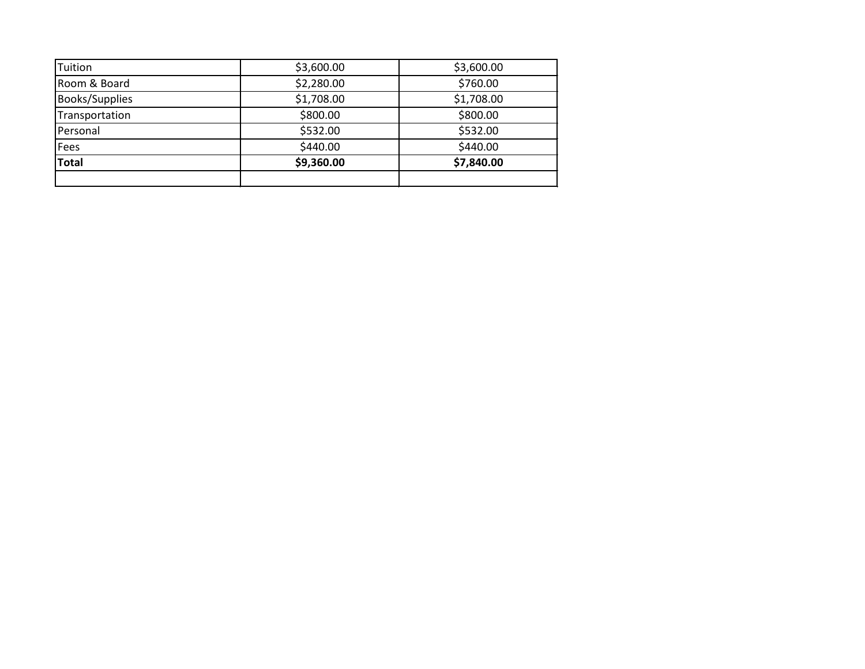| <b>Total</b>   | \$9,360.00 | \$7,840.00 |
|----------------|------------|------------|
| Fees           | \$440.00   | \$440.00   |
| Personal       | \$532.00   | \$532.00   |
| Transportation | \$800.00   | \$800.00   |
| Books/Supplies | \$1,708.00 | \$1,708.00 |
| Room & Board   | \$2,280.00 | \$760.00   |
| Tuition        | \$3,600.00 | \$3,600.00 |